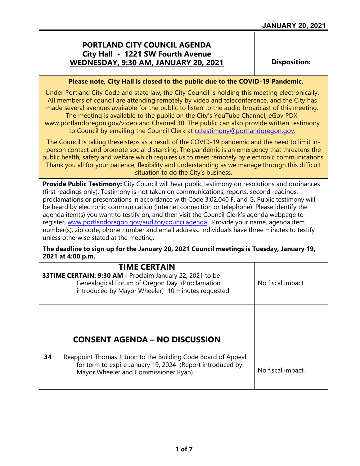## **PORTLAND CITY COUNCIL AGENDA City Hall - 1221 SW Fourth Avenue WEDNESDAY, 9:30 AM, JANUARY 20, 2021**

**Disposition:**

#### **Please note, City Hall is closed to the public due to the COVID-19 Pandemic.**

Under Portland City Code and state law, the City Council is holding this meeting electronically. All members of council are attending remotely by video and teleconference, and the City has made several avenues available for the public to listen to the audio broadcast of this meeting. The meeting is available to the public on the City's YouTube Channel, eGov PDX, www.portlandoregon.gov/video and Channel 30. The public can also provide written testimony to Council by emailing the Council Clerk at [cctestimony@portlandoregon.gov.](mailto:cctestimony@portlandoregon.gov)

The Council is taking these steps as a result of the COVID-19 pandemic and the need to limit inperson contact and promote social distancing. The pandemic is an emergency that threatens the public health, safety and welfare which requires us to meet remotely by electronic communications. Thank you all for your patience, flexibility and understanding as we manage through this difficult situation to do the City's business.

**Provide Public Testimony:** City Council will hear public testimony on resolutions and ordinances (first readings only). Testimony is not taken on communications, reports, second readings, proclamations or presentations in accordance with Code 3.02.040 F. and G. Public testimony will be heard by electronic communication (internet connection or telephone). Please identify the agenda item(s) you want to testify on, and then visit the Council Clerk's agenda webpage to register, [www.portlandoregon.gov/auditor/councilagenda.](http://www.portlandoregon.gov/auditor/councilagenda) Provide your name, agenda item number(s), zip code, phone number and email address. Individuals have three minutes to testify unless otherwise stated at the meeting.

### **The deadline to sign up for the January 20, 2021 Council meetings is Tuesday, January 19, 2021 at 4:00 p.m.**

|    | <b>TIME CERTAIN</b><br>33TIME CERTAIN: 9:30 AM - Proclaim January 22, 2021 to be<br>Genealogical Forum of Oregon Day (Proclamation<br>introduced by Mayor Wheeler) 10 minutes requested | No fiscal impact. |
|----|-----------------------------------------------------------------------------------------------------------------------------------------------------------------------------------------|-------------------|
| 34 | <b>CONSENT AGENDA – NO DISCUSSION</b><br>Reappoint Thomas J. Juon to the Building Code Board of Appeal<br>for term to expire January 19, 2024 (Report introduced by                     | No fiscal impact. |
|    | Mayor Wheeler and Commissioner Ryan)                                                                                                                                                    |                   |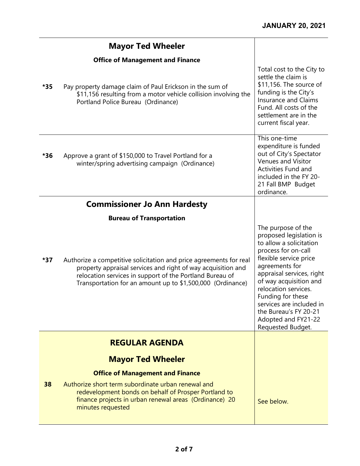|     | <b>Mayor Ted Wheeler</b>                                                                                                                                                                                                                                     |                                                                                                                                                                                                                                                                                                                                                  |
|-----|--------------------------------------------------------------------------------------------------------------------------------------------------------------------------------------------------------------------------------------------------------------|--------------------------------------------------------------------------------------------------------------------------------------------------------------------------------------------------------------------------------------------------------------------------------------------------------------------------------------------------|
|     | <b>Office of Management and Finance</b>                                                                                                                                                                                                                      |                                                                                                                                                                                                                                                                                                                                                  |
| *35 | Pay property damage claim of Paul Erickson in the sum of<br>\$11,156 resulting from a motor vehicle collision involving the<br>Portland Police Bureau (Ordinance)                                                                                            | Total cost to the City to<br>settle the claim is<br>\$11,156. The source of<br>funding is the City's<br><b>Insurance and Claims</b><br>Fund. All costs of the<br>settlement are in the<br>current fiscal year.                                                                                                                                   |
| *36 | Approve a grant of \$150,000 to Travel Portland for a<br>winter/spring advertising campaign (Ordinance)                                                                                                                                                      | This one-time<br>expenditure is funded<br>out of City's Spectator<br><b>Venues and Visitor</b><br>Activities Fund and<br>included in the FY 20-<br>21 Fall BMP Budget<br>ordinance.                                                                                                                                                              |
|     | <b>Commissioner Jo Ann Hardesty</b>                                                                                                                                                                                                                          |                                                                                                                                                                                                                                                                                                                                                  |
|     | <b>Bureau of Transportation</b>                                                                                                                                                                                                                              |                                                                                                                                                                                                                                                                                                                                                  |
| *37 | Authorize a competitive solicitation and price agreements for real<br>property appraisal services and right of way acquisition and<br>relocation services in support of the Portland Bureau of<br>Transportation for an amount up to \$1,500,000 (Ordinance) | The purpose of the<br>proposed legislation is<br>to allow a solicitation<br>process for on-call<br>flexible service price<br>agreements for<br>appraisal services, right<br>of way acquisition and<br>relocation services.<br>Funding for these<br>services are included in<br>the Bureau's FY 20-21<br>Adopted and FY21-22<br>Requested Budget. |
|     | <b>REGULAR AGENDA</b>                                                                                                                                                                                                                                        |                                                                                                                                                                                                                                                                                                                                                  |
|     |                                                                                                                                                                                                                                                              |                                                                                                                                                                                                                                                                                                                                                  |
|     | <b>Mayor Ted Wheeler</b>                                                                                                                                                                                                                                     |                                                                                                                                                                                                                                                                                                                                                  |
| 38  | <b>Office of Management and Finance</b><br>Authorize short term subordinate urban renewal and                                                                                                                                                                |                                                                                                                                                                                                                                                                                                                                                  |
|     | redevelopment bonds on behalf of Prosper Portland to<br>finance projects in urban renewal areas (Ordinance) 20<br>minutes requested                                                                                                                          | See below.                                                                                                                                                                                                                                                                                                                                       |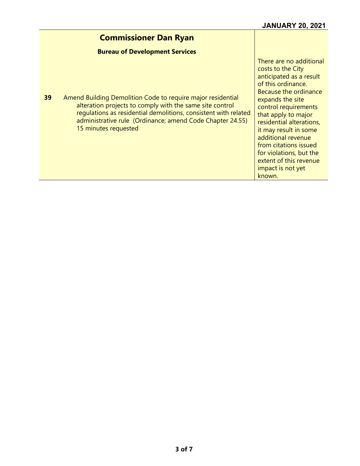#### **Commissioner Dan Ryan Bureau of Development Services 39** Amend Building Demolition Code to require major residential alteration projects to comply with the same site control regulations as residential demolitions, consistent with related administrative rule (Ordinance; amend Code Chapter 24.55) 15 minutes requested There are no additional costs to the City anticipated as a result of this ordinance. Because the ordinance expands the site control requirements that apply to major residential alterations, it may result in some additional revenue from citations issued for violations, but the extent of this revenue impact is not yet known.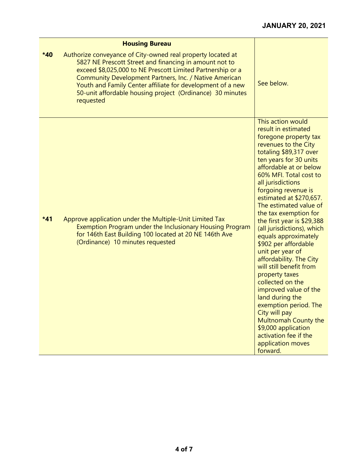|       | <b>Housing Bureau</b>                                                                                                                                                                                                                                                                                                                                                                 |                                                                                                                                                                                                                                                                                                                                                                                                                                                                                                                                                                                                                                                                                                                                                         |
|-------|---------------------------------------------------------------------------------------------------------------------------------------------------------------------------------------------------------------------------------------------------------------------------------------------------------------------------------------------------------------------------------------|---------------------------------------------------------------------------------------------------------------------------------------------------------------------------------------------------------------------------------------------------------------------------------------------------------------------------------------------------------------------------------------------------------------------------------------------------------------------------------------------------------------------------------------------------------------------------------------------------------------------------------------------------------------------------------------------------------------------------------------------------------|
| *40   | Authorize conveyance of City-owned real property located at<br>5827 NE Prescott Street and financing in amount not to<br>exceed \$8,025,000 to NE Prescott Limited Partnership or a<br>Community Development Partners, Inc. / Native American<br>Youth and Family Center affiliate for development of a new<br>50-unit affordable housing project (Ordinance) 30 minutes<br>requested | See below.                                                                                                                                                                                                                                                                                                                                                                                                                                                                                                                                                                                                                                                                                                                                              |
| $*41$ | Approve application under the Multiple-Unit Limited Tax<br>Exemption Program under the Inclusionary Housing Program<br>for 146th East Building 100 located at 20 NE 146th Ave<br>(Ordinance) 10 minutes requested                                                                                                                                                                     | This action would<br>result in estimated<br>foregone property tax<br>revenues to the City<br>totaling \$89,317 over<br>ten years for 30 units<br>affordable at or below<br>60% MFI. Total cost to<br>all jurisdictions<br>forgoing revenue is<br>estimated at \$270,657.<br>The estimated value of<br>the tax exemption for<br>the first year is $$29,388$<br>(all jurisdictions), which<br>equals approximately<br>\$902 per affordable<br>unit per year of<br>affordability. The City<br>will still benefit from<br>property taxes<br>collected on the<br>improved value of the<br>land during the<br>exemption period. The<br>City will pay<br>Multnomah County the<br>\$9,000 application<br>activation fee if the<br>application moves<br>forward. |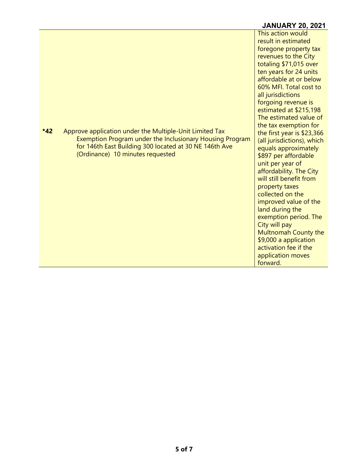# **JANUARY 20, 2021**

|                                                                                                                                                                                                                            | This action would<br>result in estimated<br>foregone property tax<br>revenues to the City<br>totaling \$71,015 over<br>ten years for 24 units<br>affordable at or below<br>60% MFI. Total cost to<br>all jurisdictions<br>forgoing revenue is<br>estimated at \$215,198<br>The estimated value of<br>the tax exemption for                                                                                                 |
|----------------------------------------------------------------------------------------------------------------------------------------------------------------------------------------------------------------------------|----------------------------------------------------------------------------------------------------------------------------------------------------------------------------------------------------------------------------------------------------------------------------------------------------------------------------------------------------------------------------------------------------------------------------|
| $*42$<br>Approve application under the Multiple-Unit Limited Tax<br>Exemption Program under the Inclusionary Housing Program<br>for 146th East Building 300 located at 30 NE 146th Ave<br>(Ordinance) 10 minutes requested | the first year is $$23,366$<br>(all jurisdictions), which<br>equals approximately<br>\$897 per affordable<br>unit per year of<br>affordability. The City<br>will still benefit from<br>property taxes<br>collected on the<br>improved value of the<br>land during the<br>exemption period. The<br>City will pay<br>Multnomah County the<br>\$9,000 a application<br>activation fee if the<br>application moves<br>forward. |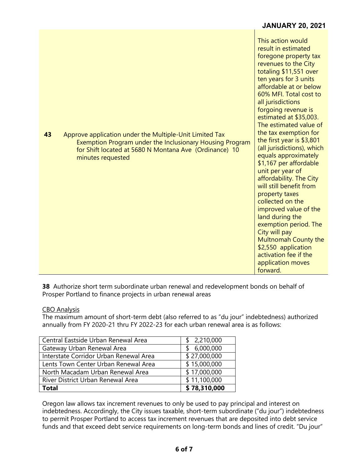| 43 | Approve application under the Multiple-Unit Limited Tax<br>Exemption Program under the Inclusionary Housing Program<br>for Shift located at 5680 N Montana Ave (Ordinance) 10<br>minutes requested | This action would<br>result in estimated<br>foregone property tax<br>revenues to the City<br>totaling \$11,551 over<br>ten years for 3 units<br>affordable at or below<br>60% MFI. Total cost to<br>all jurisdictions<br>forgoing revenue is<br>estimated at \$35,003.<br>The estimated value of<br>the tax exemption for<br>the first year is \$3,801<br>(all jurisdictions), which<br>equals approximately<br>\$1,167 per affordable<br>unit per year of<br>affordability. The City<br>will still benefit from<br>property taxes |
|----|----------------------------------------------------------------------------------------------------------------------------------------------------------------------------------------------------|------------------------------------------------------------------------------------------------------------------------------------------------------------------------------------------------------------------------------------------------------------------------------------------------------------------------------------------------------------------------------------------------------------------------------------------------------------------------------------------------------------------------------------|
|    |                                                                                                                                                                                                    | collected on the<br>improved value of the<br>land during the<br>exemption period. The<br>City will pay<br>Multnomah County the<br>\$2,550 application<br>activation fee if the<br>application moves<br>forward.                                                                                                                                                                                                                                                                                                                    |

**JANUARY 20, 2021**

**38** Authorize short term subordinate urban renewal and redevelopment bonds on behalf of Prosper Portland to finance projects in urban renewal areas

### CBO Analysis

The maximum amount of short-term debt (also referred to as "du jour" indebtedness) authorized annually from FY 2020-21 thru FY 2022-23 for each urban renewal area is as follows:

| Central Eastside Urban Renewal Area    | \$2,210,000     |
|----------------------------------------|-----------------|
| Gateway Urban Renewal Area             | 6,000,000<br>S. |
| Interstate Corridor Urban Renewal Area | \$27,000,000    |
| Lents Town Center Urban Renewal Area   | \$15,000,000    |
| North Macadam Urban Renewal Area       | \$17,000,000    |
| River District Urban Renewal Area      | \$11,100,000    |
| Total                                  | \$78,310,000    |

Oregon law allows tax increment revenues to only be used to pay principal and interest on indebtedness. Accordingly, the City issues taxable, short-term subordinate ("du jour") indebtedness to permit Prosper Portland to access tax increment revenues that are deposited into debt service funds and that exceed debt service requirements on long-term bonds and lines of credit. "Du jour"